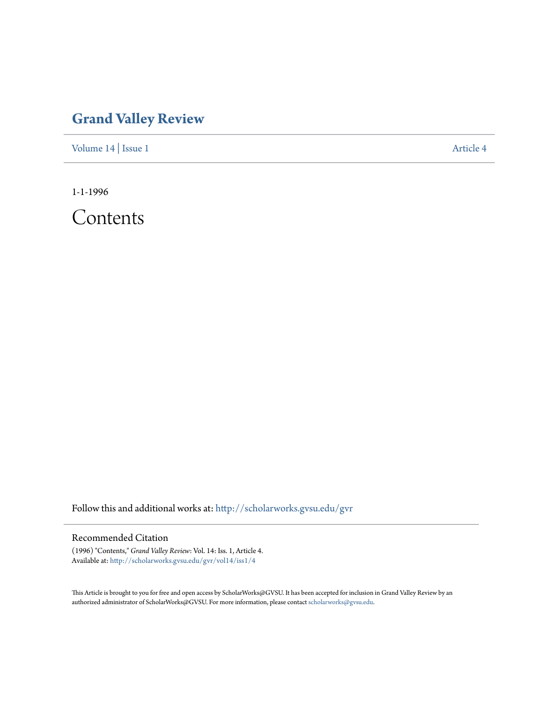## **[Grand Valley Review](http://scholarworks.gvsu.edu/gvr?utm_source=scholarworks.gvsu.edu%2Fgvr%2Fvol14%2Fiss1%2F4&utm_medium=PDF&utm_campaign=PDFCoverPages)**

[Volume 14](http://scholarworks.gvsu.edu/gvr/vol14?utm_source=scholarworks.gvsu.edu%2Fgvr%2Fvol14%2Fiss1%2F4&utm_medium=PDF&utm_campaign=PDFCoverPages) | [Issue 1](http://scholarworks.gvsu.edu/gvr/vol14/iss1?utm_source=scholarworks.gvsu.edu%2Fgvr%2Fvol14%2Fiss1%2F4&utm_medium=PDF&utm_campaign=PDFCoverPages) [Article 4](http://scholarworks.gvsu.edu/gvr/vol14/iss1/4?utm_source=scholarworks.gvsu.edu%2Fgvr%2Fvol14%2Fiss1%2F4&utm_medium=PDF&utm_campaign=PDFCoverPages)

1-1-1996

**Contents** 

Follow this and additional works at: [http://scholarworks.gvsu.edu/gvr](http://scholarworks.gvsu.edu/gvr?utm_source=scholarworks.gvsu.edu%2Fgvr%2Fvol14%2Fiss1%2F4&utm_medium=PDF&utm_campaign=PDFCoverPages)

## Recommended Citation

(1996) "Contents," *Grand Valley Review*: Vol. 14: Iss. 1, Article 4. Available at: [http://scholarworks.gvsu.edu/gvr/vol14/iss1/4](http://scholarworks.gvsu.edu/gvr/vol14/iss1/4?utm_source=scholarworks.gvsu.edu%2Fgvr%2Fvol14%2Fiss1%2F4&utm_medium=PDF&utm_campaign=PDFCoverPages)

This Article is brought to you for free and open access by ScholarWorks@GVSU. It has been accepted for inclusion in Grand Valley Review by an authorized administrator of ScholarWorks@GVSU. For more information, please contact [scholarworks@gvsu.edu.](mailto:scholarworks@gvsu.edu)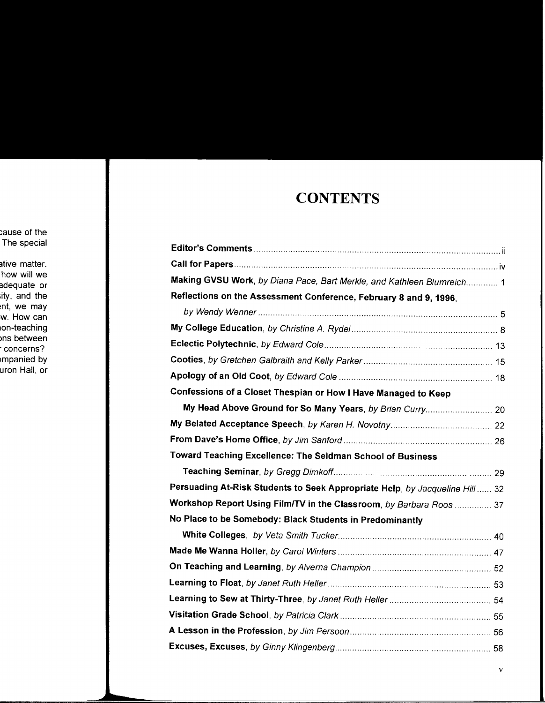## **CONTENTS**

| Making GVSU Work, by Diana Pace, Bart Merkle, and Kathleen Blumreich 1       |  |
|------------------------------------------------------------------------------|--|
| Reflections on the Assessment Conference, February 8 and 9, 1996,            |  |
|                                                                              |  |
|                                                                              |  |
|                                                                              |  |
|                                                                              |  |
|                                                                              |  |
| Confessions of a Closet Thespian or How I Have Managed to Keep               |  |
|                                                                              |  |
|                                                                              |  |
|                                                                              |  |
| Toward Teaching Excellence: The Seidman School of Business                   |  |
|                                                                              |  |
| Persuading At-Risk Students to Seek Appropriate Help, by Jacqueline Hill  32 |  |
| Workshop Report Using Film/TV in the Classroom, by Barbara Roos  37          |  |
| No Place to be Somebody: Black Students in Predominantly                     |  |
|                                                                              |  |
|                                                                              |  |
|                                                                              |  |
|                                                                              |  |
|                                                                              |  |
|                                                                              |  |
|                                                                              |  |
|                                                                              |  |